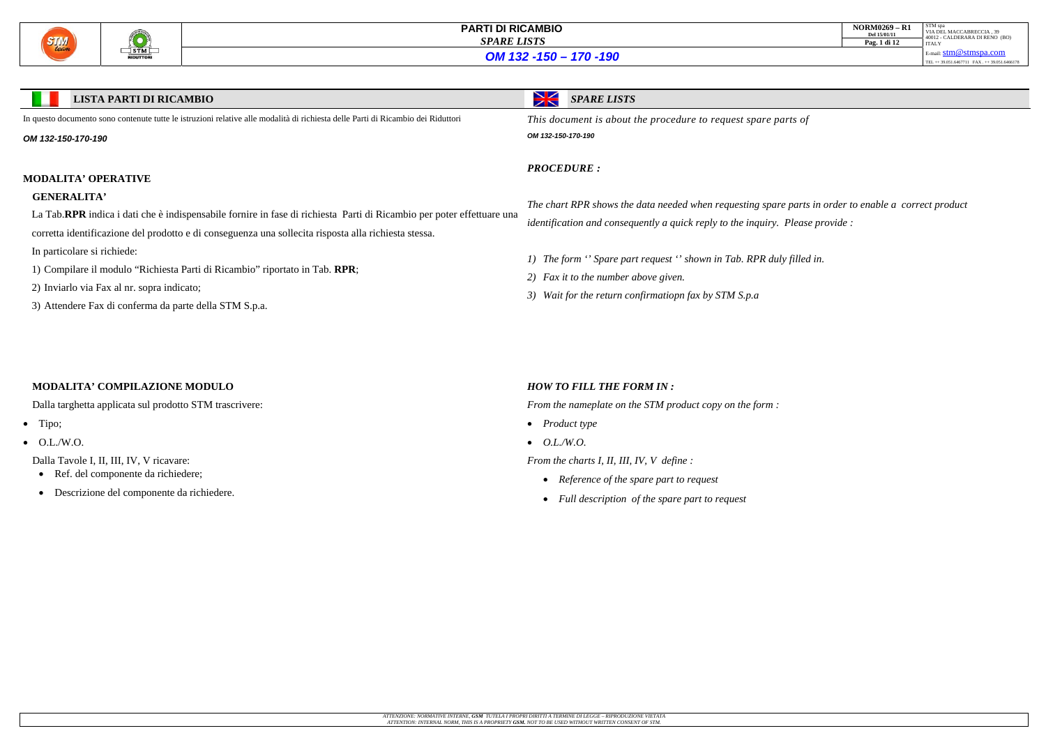

| <b>NORM0269 - R1</b><br>Del 15/01/11<br>Pag. 1 di 12 | STM spa<br>VIA DEL MACCABRECCIA. 39<br>40012 - CALDERARA DI RENO (BO)<br><b>ITALY</b> |
|------------------------------------------------------|---------------------------------------------------------------------------------------|
|                                                      | E-mail: $stm@stmspa.com$                                                              |
|                                                      | TEL ++ 39.051.6467711 FAX ++ 39.051.6466178                                           |

## *OM 132 -150 – 170 -190*

*The chart RPR shows the data needed when requesting spare parts in order to enable a correct product dease provide :* 

*filled in.* 

- Ref. del componente da richiedere;
- Descrizione del componente da richiedere.

| <b>LISTA PARTI DI RICAMBIO</b>                                                                                                   | Ж<br><b>SPARE LISTS</b>                                              |  |  |  |  |
|----------------------------------------------------------------------------------------------------------------------------------|----------------------------------------------------------------------|--|--|--|--|
| In questo documento sono contenute tutte le istruzioni relative alle modalità di richiesta delle Parti di Ricambio dei Riduttori | This document is about the procedure to request spare parts of       |  |  |  |  |
| OM 132-150-170-190                                                                                                               | OM 132-150-170-190                                                   |  |  |  |  |
|                                                                                                                                  | <b>PROCEDURE:</b>                                                    |  |  |  |  |
| <b>MODALITA' OPERATIVE</b>                                                                                                       |                                                                      |  |  |  |  |
| <b>GENERALITA'</b>                                                                                                               | The chart RPR shows the data needed when requesting spare parts      |  |  |  |  |
| La Tab.RPR indica i dati che è indispensabile fornire in fase di richiesta Parti di Ricambio per poter effettuare una            | identification and consequently a quick reply to the inquiry. Please |  |  |  |  |
| corretta identificazione del prodotto e di conseguenza una sollecita risposta alla richiesta stessa.                             |                                                                      |  |  |  |  |
| In particolare si richiede:                                                                                                      | 1) The form "Spare part request" shown in Tab. RPR duly filled       |  |  |  |  |
| 1) Compilare il modulo "Richiesta Parti di Ricambio" riportato in Tab. RPR;                                                      |                                                                      |  |  |  |  |
| 2) Inviarlo via Fax al nr. sopra indicato;                                                                                       | 2) Fax it to the number above given.                                 |  |  |  |  |
| 3) Attendere Fax di conferma da parte della STM S.p.a.                                                                           | 3) Wait for the return confirmatiopn fax by STM S.p.a                |  |  |  |  |

## **MODALITA' COMPILAZIONE MODULO**

Dalla targhetta applicata sul prodotto STM trascrivere:

- Tipo;
- $\bullet$  O.L./W.O.

Dalla Tavole I, II, III, IV, V ricavare:

#### *HOW TO FILL THE FORM IN :*

*From the nameplate on the STM product copy on the form :* 

- *Product type*
- *O.L./W.O.*

*From the charts I, II, III, IV, V define :* 

- *Reference of the spare part to request*
- *Full description of the spare part to request*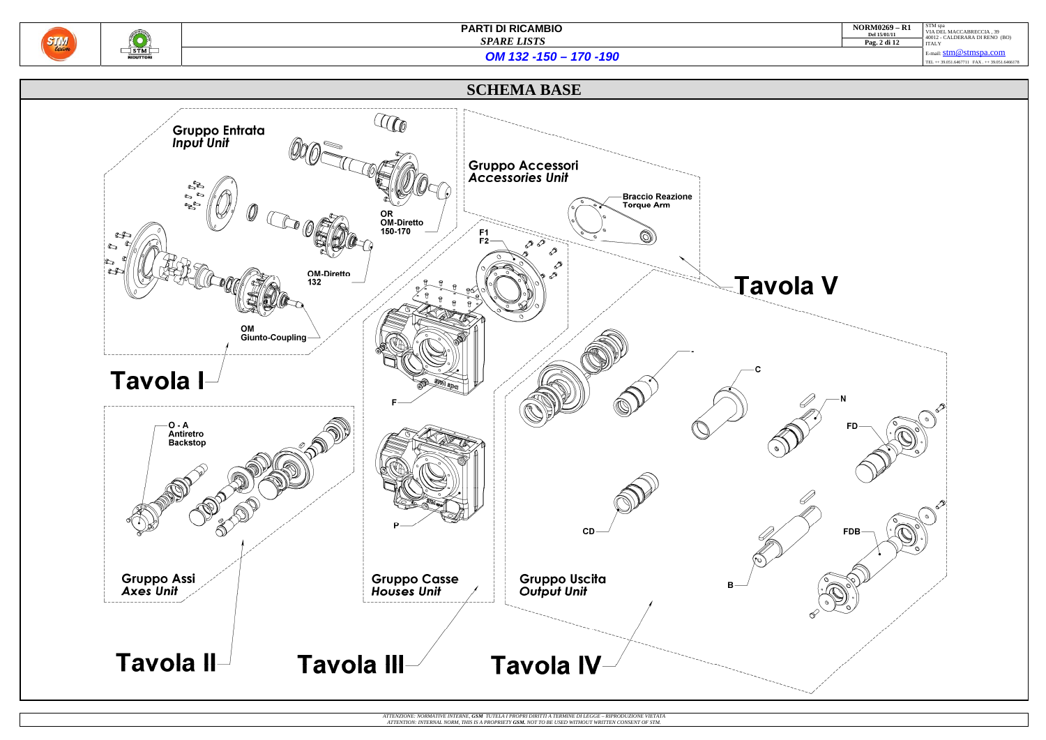

| $NORM0269 - R1$<br>Del 15/01/11 | STM spa<br>VIA DEL MACCABRECCIA, 39<br>40012 - CALDERARA DI RENO (BO) |
|---------------------------------|-----------------------------------------------------------------------|
| Pag. 2 di 12                    | <b>ITALY</b>                                                          |
|                                 | E-mail: $stm@stmspa.com$                                              |
|                                 | TEL ++ 39.051.6467711 FAX ++ 39.051.6466178                           |
|                                 |                                                                       |

*OM 132 -150 – 170 -190*

**SCHEMA BASE**



ATTENZIONE: NORMATIVE INTERNE, **GSM** TUTELA I PROPRI DIRITTI A TERMINE DI LEGGE – RIPRODUZIONE VIETATA<br>ATTENTION: INTERNAL NORM, THIS IS A PROPRIETY **GSM.** NOT TO BE USED WITHOUT WRITTEN CONSENT OF STM.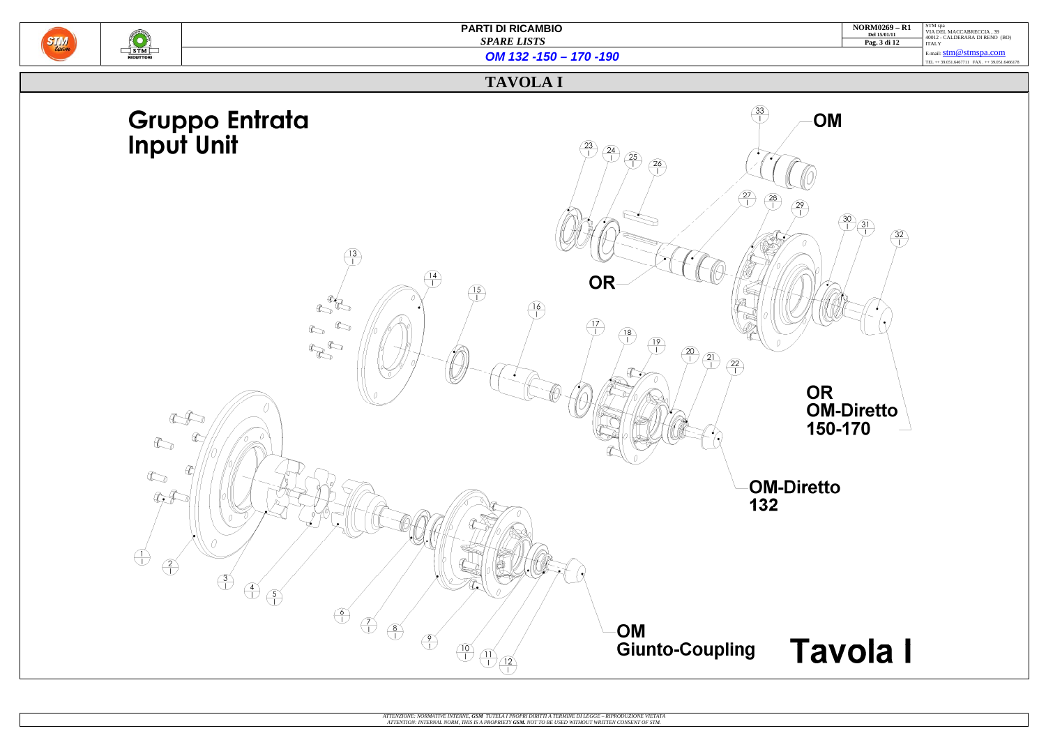

| <b>NORM0269 - R1</b><br>Del 15/01/11 | STM spa<br>VIA DEL MACCABRECCIA, 39<br>40012 - CALDERARA DI RENO (BO) |
|--------------------------------------|-----------------------------------------------------------------------|
| Pag. 3 di 12                         | <b>ITALY</b>                                                          |
|                                      | E-mail: $stm@stmspa.com$                                              |
|                                      | TEL ++ 39.051.6467711 FAX ++ 39.051.6466178                           |

*OM 132 -150 – 170 -190*

## **TAVOLA I**

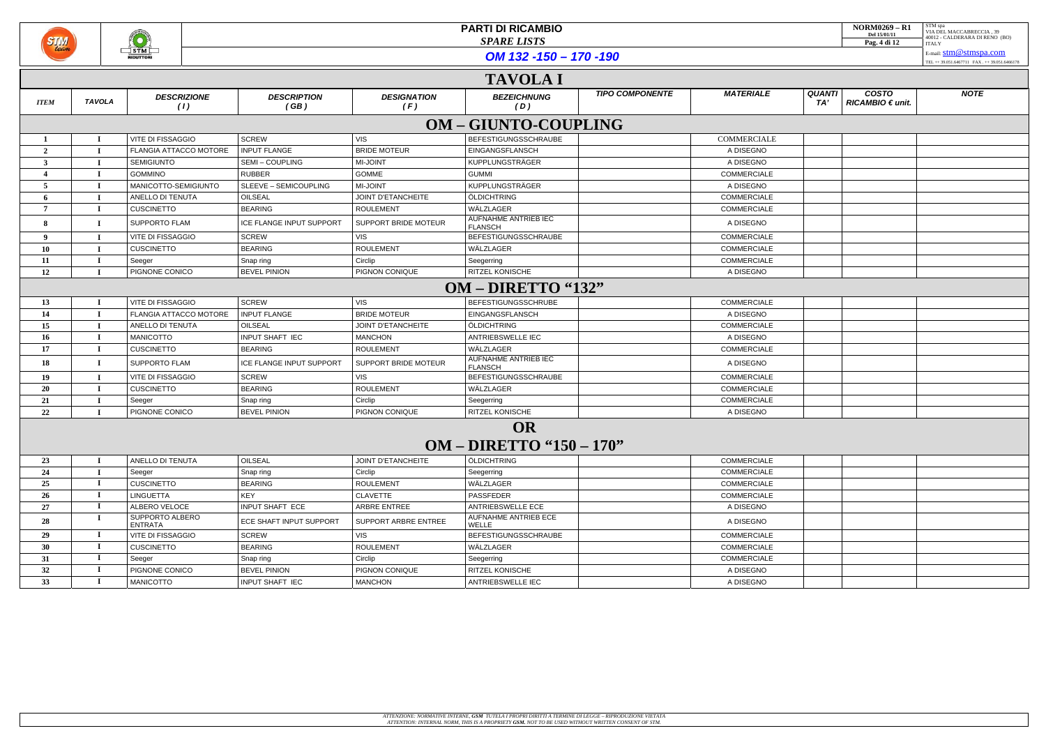

OM 132 -150 - 170 -190

|                | <b>TAVOLA I</b>                              |                            |                            |                             |                                        |                        |                    |                                                          |             |
|----------------|----------------------------------------------|----------------------------|----------------------------|-----------------------------|----------------------------------------|------------------------|--------------------|----------------------------------------------------------|-------------|
| <b>ITEM</b>    | <b>TAVOLA</b>                                | <b>DESCRIZIONE</b><br>(1)  | <b>DESCRIPTION</b><br>(GB) | <b>DESIGNATION</b><br>(F)   | <b>BEZEICHNUNG</b><br>(D)              | <b>TIPO COMPONENTE</b> | <b>MATERIALE</b>   | <b>QUANTI</b><br><b>COSTO</b><br>RICAMBIO € unit.<br>TA' | <b>NOTE</b> |
|                | <b>OM - GIUNTO-COUPLING</b>                  |                            |                            |                             |                                        |                        |                    |                                                          |             |
|                |                                              | VITE DI FISSAGGIO          | <b>SCREW</b>               | <b>VIS</b>                  | <b>BEFESTIGUNGSSCHRAUBE</b>            |                        | COMMERCIALE        |                                                          |             |
| $\overline{2}$ |                                              | FLANGIA ATTACCO MOTORE     | <b>INPUT FLANGE</b>        | <b>BRIDE MOTEUR</b>         | EINGANGSFLANSCH                        |                        | A DISEGNO          |                                                          |             |
| 3              |                                              | <b>SEMIGIUNTO</b>          | SEMI-COUPLING              | MI-JOINT                    | KUPPLUNGSTRÄGER                        |                        | A DISEGNO          |                                                          |             |
|                |                                              | <b>GOMMINO</b>             | <b>RUBBER</b>              | <b>GOMME</b>                | <b>GUMMI</b>                           |                        | <b>COMMERCIALE</b> |                                                          |             |
| 5              |                                              | MANICOTTO-SEMIGIUNTO       | SLEEVE - SEMICOUPLING      | <b>MI-JOINT</b>             | KUPPLUNGSTRÄGER                        |                        | A DISEGNO          |                                                          |             |
|                |                                              | <b>ANELLO DI TENUTA</b>    | OILSEAL                    | <b>JOINT D'ETANCHEITE</b>   | ÖLDICHTRING                            |                        | <b>COMMERCIALE</b> |                                                          |             |
| 7              |                                              | <b>CUSCINETTO</b>          | <b>BEARING</b>             | <b>ROULEMENT</b>            | WÄLZLAGER                              |                        | <b>COMMERCIALE</b> |                                                          |             |
|                |                                              | <b>SUPPORTO FLAM</b>       | ICE FLANGE INPUT SUPPORT   | <b>SUPPORT BRIDE MOTEUR</b> | AUFNAHME ANTRIEB IEC<br><b>FLANSCH</b> |                        | A DISEGNO          |                                                          |             |
| -9             |                                              | <b>VITE DI FISSAGGIO</b>   | <b>SCREW</b>               | VIS                         | <b>BEFESTIGUNGSSCHRAUBE</b>            |                        | COMMERCIALE        |                                                          |             |
| 10             |                                              | <b>CUSCINETTO</b>          | <b>BEARING</b>             | <b>ROULEMENT</b>            | WÄLZLAGER                              |                        | COMMERCIALE        |                                                          |             |
| 11             |                                              | Seeger                     | Snap ring                  | Circlip                     | Seegerring                             |                        | COMMERCIALE        |                                                          |             |
| 12             |                                              | PIGNONE CONICO             | <b>BEVEL PINION</b>        | PIGNON CONIQUE              | <b>RITZEL KONISCHE</b>                 |                        | A DISEGNO          |                                                          |             |
|                | OM – DIRETTO "132"                           |                            |                            |                             |                                        |                        |                    |                                                          |             |
| 13             |                                              | <b>VITE DI FISSAGGIO</b>   | <b>SCREW</b>               | <b>VIS</b>                  | <b>BEFESTIGUNGSSCHRUBE</b>             |                        | <b>COMMERCIALE</b> |                                                          |             |
| 14             |                                              | FLANGIA ATTACCO MOTORE     | <b>INPUT FLANGE</b>        | <b>BRIDE MOTEUR</b>         | EINGANGSFLANSCH                        |                        | A DISEGNO          |                                                          |             |
| 15             |                                              | ANELLO DI TENUTA           | OILSEAL                    | <b>JOINT D'ETANCHEITE</b>   | ÖLDICHTRING                            |                        | <b>COMMERCIALE</b> |                                                          |             |
| 16             |                                              | <b>MANICOTTO</b>           | INPUT SHAFT IEC            | <b>MANCHON</b>              | ANTRIEBSWELLE IEC                      |                        | A DISEGNO          |                                                          |             |
| 17             |                                              | <b>CUSCINETTO</b>          | <b>BEARING</b>             | <b>ROULEMENT</b>            | WÄLZLAGER                              |                        | COMMERCIALE        |                                                          |             |
| 18             |                                              | <b>SUPPORTO FLAM</b>       | ICE FLANGE INPUT SUPPORT   | SUPPORT BRIDE MOTEUR        | AUFNAHME ANTRIEB IEC<br><b>FLANSCH</b> |                        | A DISEGNO          |                                                          |             |
| 19             |                                              | <b>VITE DI FISSAGGIO</b>   | <b>SCREW</b>               | VIS                         | BEFESTIGUNGSSCHRAUBE                   |                        | <b>COMMERCIALE</b> |                                                          |             |
| 20             |                                              | <b>CUSCINETTO</b>          | <b>BEARING</b>             | <b>ROULEMENT</b>            | WÄLZLAGER                              |                        | <b>COMMERCIALE</b> |                                                          |             |
| 21             |                                              | Seeger                     | Snap ring                  | Circlip                     | Seegerring                             |                        | <b>COMMERCIALE</b> |                                                          |             |
| 22             |                                              | PIGNONE CONICO             | <b>BEVEL PINION</b>        | PIGNON CONIQUE              | <b>RITZEL KONISCHE</b>                 |                        | A DISEGNO          |                                                          |             |
|                | <b>OR</b><br><b>OM – DIRETTO "150 – 170"</b> |                            |                            |                             |                                        |                        |                    |                                                          |             |
| 23             |                                              | ANELLO DI TENUTA           | OILSEAL                    | JOINT D'ETANCHEITE          | ÖLDICHTRING                            |                        | COMMERCIALE        |                                                          |             |
| 24             |                                              | Seeger                     | Snap ring                  | Circlip                     | Seegerring                             |                        | COMMERCIALE        |                                                          |             |
| 25             |                                              | <b>CUSCINETTO</b>          | <b>BEARING</b>             | <b>ROULEMENT</b>            | WÄLZLAGER                              |                        | <b>COMMERCIALE</b> |                                                          |             |
| 26             |                                              | <b>LINGUETTA</b>           | KEY                        | <b>CLAVETTE</b>             | PASSFEDER                              |                        | COMMERCIALE        |                                                          |             |
| 27             |                                              | ALBERO VELOCE              | <b>INPUT SHAFT ECE</b>     | ARBRE ENTREE                | ANTRIEBSWELLE ECE                      |                        | A DISEGNO          |                                                          |             |
| 28             |                                              | SUPPORTO ALBERO<br>ENTRATA | ECE SHAFT INPUT SUPPORT    | SUPPORT ARBRE ENTREE        | AUFNAHME ANTRIEB ECE<br>WELLE          |                        | A DISEGNO          |                                                          |             |
| 29             |                                              | VITE DI FISSAGGIO          | SCREW                      | VIS                         | BEFESTIGUNGSSCHRAUBE                   |                        | <b>COMMERCIALE</b> |                                                          |             |
| 30             |                                              | <b>CUSCINETTO</b>          | <b>BEARING</b>             | <b>ROULEMENT</b>            | WÄLZLAGER                              |                        | <b>COMMERCIALE</b> |                                                          |             |
| 31             |                                              | Seeger                     | Snap ring                  | Circlip                     | Seegerring                             |                        | COMMERCIALE        |                                                          |             |
| 32             |                                              | PIGNONE CONICO             | <b>BEVEL PINION</b>        | PIGNON CONIQUE              | RITZEL KONISCHE                        |                        | A DISEGNO          |                                                          |             |
| 33             |                                              | <b>MANICOTTO</b>           | INPUT SHAFT IEC            | <b>MANCHON</b>              | ANTRIEBSWELLE IEC                      |                        | A DISEGNO          |                                                          |             |

| <b>NORM0269 - R1</b> | STM spa                                                    |
|----------------------|------------------------------------------------------------|
| Del 15/01/11         | VIA DEL MACCABRECCIA. 39<br>40012 - CALDERARA DI RENO (BO) |
| Pag. 4 di 12         | <b>ITALY</b>                                               |
|                      | E-mail: $stm@stmspa.com$                                   |
|                      | TEL ++ 39.051.6467711 FAX . ++ 39.051.6466178              |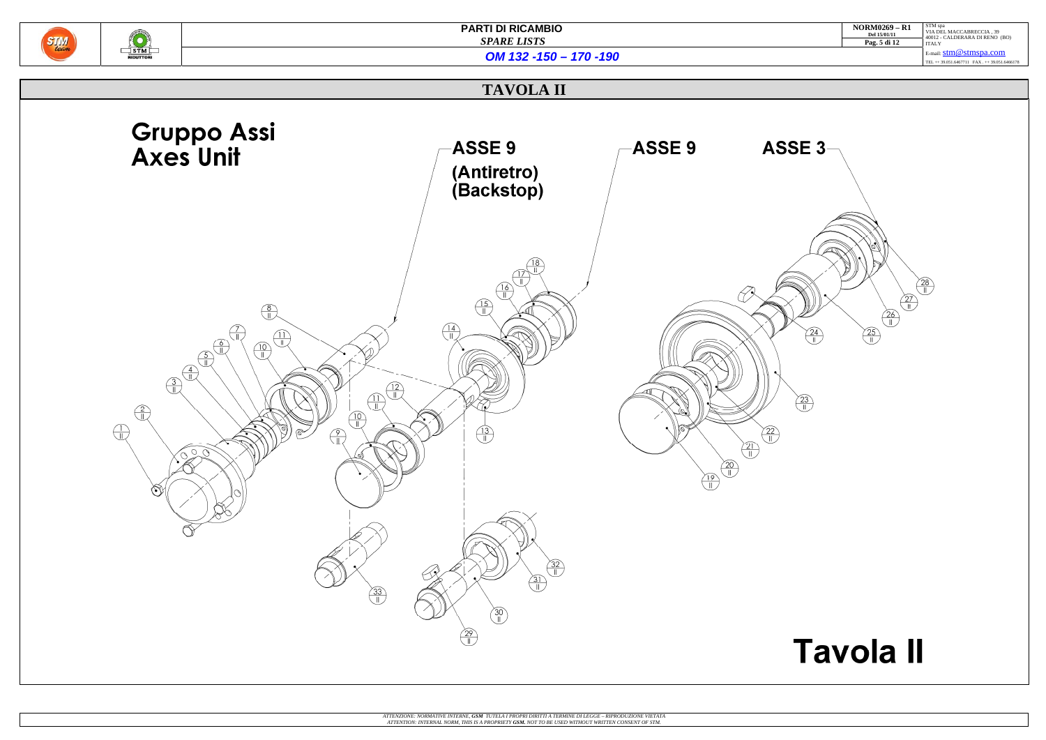| <b>NORM0269 - R1</b><br>Del 15/01/11 | STM spa<br>VIA DEL MACCABRECCIA, 39<br>40012 - CALDERARA DI RENO (BO) |
|--------------------------------------|-----------------------------------------------------------------------|
| Pag. 5 di 12                         | <b>ITALY</b>                                                          |
|                                      | E-mail: $stm@stmspa.com$                                              |
|                                      | TEL + + 39.051.6467711 FAX + + 39.051.6466178                         |

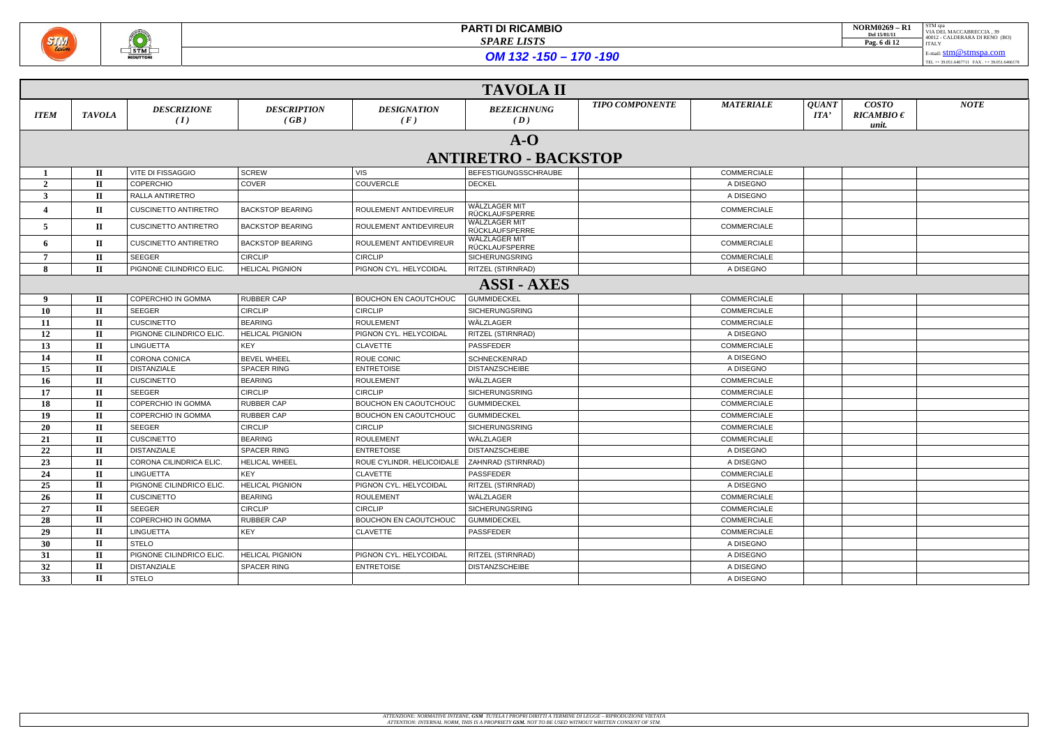

| <b>NORM0269 - R1</b><br>Del 15/01/11<br>Pag. 6 di 12 | STM spa<br>VIA DEL MACCABRECCIA. 39<br>40012 - CALDERARA DI RENO (BO)<br><b>ITALY</b> |
|------------------------------------------------------|---------------------------------------------------------------------------------------|
|                                                      | E-mail: $stm@stmspa.com$                                                              |

TEL ++ 39.051.6467711 FAX . ++ 39.051.6466178

*OM 132 -150 – 170 -190*

| <b>TAVOLA II</b> |               |                             |                            |                              |                                       |                        |                    |                                              |                                         |             |
|------------------|---------------|-----------------------------|----------------------------|------------------------------|---------------------------------------|------------------------|--------------------|----------------------------------------------|-----------------------------------------|-------------|
| <b>ITEM</b>      | <b>TAVOLA</b> | <b>DESCRIZIONE</b><br>(I)   | <b>DESCRIPTION</b><br>(GB) | <b>DESIGNATION</b><br>(F)    | <b>BEZEICHNUNG</b><br>(D)             | <b>TIPO COMPONENTE</b> | <b>MATERIALE</b>   | <b>QUANT</b><br>$\boldsymbol{\mathit{ITA'}}$ | <b>COSTO</b><br>$RICAMBIO \in$<br>unit. | <b>NOTE</b> |
|                  |               |                             |                            |                              | $A-O$                                 |                        |                    |                                              |                                         |             |
|                  |               |                             |                            |                              | <b>ANTIRETRO - BACKSTOP</b>           |                        |                    |                                              |                                         |             |
|                  |               | VITE DI FISSAGGIO           | <b>SCREW</b>               | <b>VIS</b>                   |                                       |                        | <b>COMMERCIALE</b> |                                              |                                         |             |
|                  | $\mathbf{I}$  | <b>COPERCHIO</b>            | COVER                      | <b>COUVERCLE</b>             | BEFESTIGUNGSSCHRAUBE<br><b>DECKEL</b> |                        | A DISEGNO          |                                              |                                         |             |
| $\overline{2}$   | $\mathbf{I}$  | RALLA ANTIRETRO             |                            |                              |                                       |                        | A DISEGNO          |                                              |                                         |             |
| $\mathbf{3}$     | $\mathbf{I}$  |                             |                            |                              | WÄLZLAGER MIT                         |                        |                    |                                              |                                         |             |
| $\overline{4}$   | $\mathbf{I}$  | <b>CUSCINETTO ANTIRETRO</b> | <b>BACKSTOP BEARING</b>    | ROULEMENT ANTIDEVIREUR       | RÜCKLAUFSPERRE                        |                        | <b>COMMERCIALE</b> |                                              |                                         |             |
| 5                | $\mathbf{I}$  | <b>CUSCINETTO ANTIRETRO</b> | <b>BACKSTOP BEARING</b>    | ROULEMENT ANTIDEVIREUR       | WÄLZLAGER MIT<br>RÜCKLAUFSPERRE       |                        | <b>COMMERCIALE</b> |                                              |                                         |             |
| 6                | $\mathbf{I}$  | <b>CUSCINETTO ANTIRETRO</b> | <b>BACKSTOP BEARING</b>    | ROULEMENT ANTIDEVIREUR       | WÄLZLAGER MIT<br>RÜCKLAUFSPERRE       |                        | <b>COMMERCIALE</b> |                                              |                                         |             |
| 7                | $\mathbf{I}$  | <b>SEEGER</b>               | <b>CIRCLIP</b>             | <b>CIRCLIP</b>               | SICHERUNGSRING                        |                        | <b>COMMERCIALE</b> |                                              |                                         |             |
| 8                | $\mathbf{I}$  | PIGNONE CILINDRICO ELIC     | <b>HELICAL PIGNION</b>     | PIGNON CYL. HELYCOIDAL       | RITZEL (STIRNRAD)                     |                        | A DISEGNO          |                                              |                                         |             |
|                  |               |                             |                            |                              | <b>ASSI - AXES</b>                    |                        |                    |                                              |                                         |             |
| 9                | $\mathbf{I}$  | <b>COPERCHIO IN GOMMA</b>   | RUBBER CAP                 | BOUCHON EN CAOUTCHOUC        | <b>GUMMIDECKEL</b>                    |                        | <b>COMMERCIALE</b> |                                              |                                         |             |
| 10               | $\mathbf{I}$  | <b>SEEGER</b>               | <b>CIRCLIP</b>             | <b>CIRCLIP</b>               | <b>SICHERUNGSRING</b>                 |                        | <b>COMMERCIALE</b> |                                              |                                         |             |
| 11               | $\mathbf{I}$  | <b>CUSCINETTO</b>           | <b>BEARING</b>             | <b>ROULEMENT</b>             | WÄLZLAGER                             |                        | <b>COMMERCIALE</b> |                                              |                                         |             |
| 12               | $\mathbf{I}$  | PIGNONE CILINDRICO ELIC.    | <b>HELICAL PIGNION</b>     | PIGNON CYL. HELYCOIDAL       | RITZEL (STIRNRAD)                     |                        | A DISEGNO          |                                              |                                         |             |
| 13               | $\mathbf{I}$  | <b>LINGUETTA</b>            | KEY                        | <b>CLAVETTE</b>              | PASSFEDER                             |                        | <b>COMMERCIALE</b> |                                              |                                         |             |
| 14               | $\mathbf{I}$  | CORONA CONICA               | <b>BEVEL WHEEL</b>         | ROUE CONIC                   | SCHNECKENRAD                          |                        | A DISEGNO          |                                              |                                         |             |
| 15               | $\mathbf{I}$  | <b>DISTANZIALE</b>          | <b>SPACER RING</b>         | <b>ENTRETOISE</b>            | <b>DISTANZSCHEIBE</b>                 |                        | A DISEGNO          |                                              |                                         |             |
| 16               | $\mathbf{I}$  | <b>CUSCINETTO</b>           | <b>BEARING</b>             | <b>ROULEMENT</b>             | WÄLZLAGER                             |                        | <b>COMMERCIALE</b> |                                              |                                         |             |
| 17               | $\mathbf{I}$  | <b>SEEGER</b>               | <b>CIRCLIP</b>             | <b>CIRCLIP</b>               | <b>SICHERUNGSRING</b>                 |                        | <b>COMMERCIALE</b> |                                              |                                         |             |
| 18               | $\mathbf{I}$  | COPERCHIO IN GOMMA          | <b>RUBBER CAP</b>          | BOUCHON EN CAOUTCHOUC        | <b>GUMMIDECKEL</b>                    |                        | <b>COMMERCIALE</b> |                                              |                                         |             |
| 19               | $\mathbf{I}$  | <b>COPERCHIO IN GOMMA</b>   | RUBBER CAP                 | BOUCHON EN CAOUTCHOUC        | <b>GUMMIDECKEL</b>                    |                        | <b>COMMERCIALE</b> |                                              |                                         |             |
| 20               | $\mathbf{I}$  | <b>SEEGER</b>               | <b>CIRCLIP</b>             | <b>CIRCLIP</b>               | <b>SICHERUNGSRING</b>                 |                        | <b>COMMERCIALE</b> |                                              |                                         |             |
| 21               | $\mathbf{I}$  | <b>CUSCINETTO</b>           | <b>BEARING</b>             | <b>ROULEMENT</b>             | WÄLZLAGER                             |                        | <b>COMMERCIALE</b> |                                              |                                         |             |
| 22               | $\mathbf{I}$  | <b>DISTANZIALE</b>          | SPACER RING                | <b>ENTRETOISE</b>            | <b>DISTANZSCHEIBE</b>                 |                        | A DISEGNO          |                                              |                                         |             |
| 23               | $\mathbf{I}$  | CORONA CILINDRICA ELIC.     | <b>HELICAL WHEEL</b>       | ROUE CYLINDR. HELICOIDALE    | ZAHNRAD (STIRNRAD)                    |                        | A DISEGNO          |                                              |                                         |             |
| 24               | $\mathbf{I}$  | <b>LINGUETTA</b>            | <b>KEY</b>                 | CLAVETTE                     | PASSFEDER                             |                        | COMMERCIALE        |                                              |                                         |             |
| 25               | $\mathbf{I}$  | PIGNONE CILINDRICO ELIC.    | <b>HELICAL PIGNION</b>     | PIGNON CYL. HELYCOIDAL       | RITZEL (STIRNRAD)                     |                        | A DISEGNO          |                                              |                                         |             |
| 26               | $\mathbf{I}$  | <b>CUSCINETTO</b>           | <b>BEARING</b>             | <b>ROULEMENT</b>             | WÄLZLAGER                             |                        | COMMERCIALE        |                                              |                                         |             |
| 27               | $\mathbf{I}$  | SEEGER                      | <b>CIRCLIP</b>             | <b>CIRCLIP</b>               | SICHERUNGSRING                        |                        | COMMERCIALE        |                                              |                                         |             |
| 28               | $\mathbf{I}$  | COPERCHIO IN GOMMA          | RUBBER CAP                 | <b>BOUCHON EN CAOUTCHOUC</b> | <b>GUMMIDECKEL</b>                    |                        | COMMERCIALE        |                                              |                                         |             |
| 29               | $\mathbf{I}$  | LINGUETTA                   | KEY                        | CLAVETTE                     | PASSFEDER                             |                        | COMMERCIALE        |                                              |                                         |             |
| 30               | $\mathbf{I}$  | <b>STELO</b>                |                            |                              |                                       |                        | A DISEGNO          |                                              |                                         |             |
| 31               | $\mathbf{I}$  | PIGNONE CILINDRICO ELIC.    | <b>HELICAL PIGNION</b>     | PIGNON CYL. HELYCOIDAL       | RITZEL (STIRNRAD)                     |                        | A DISEGNO          |                                              |                                         |             |
| 32               | $\mathbf{I}$  | <b>DISTANZIALE</b>          | SPACER RING                | <b>ENTRETOISE</b>            | <b>DISTANZSCHEIBE</b>                 |                        | A DISEGNO          |                                              |                                         |             |
| 33 <sup>3</sup>  | $\mathbf{I}$  | <b>STELO</b>                |                            |                              |                                       |                        | A DISEGNO          |                                              |                                         |             |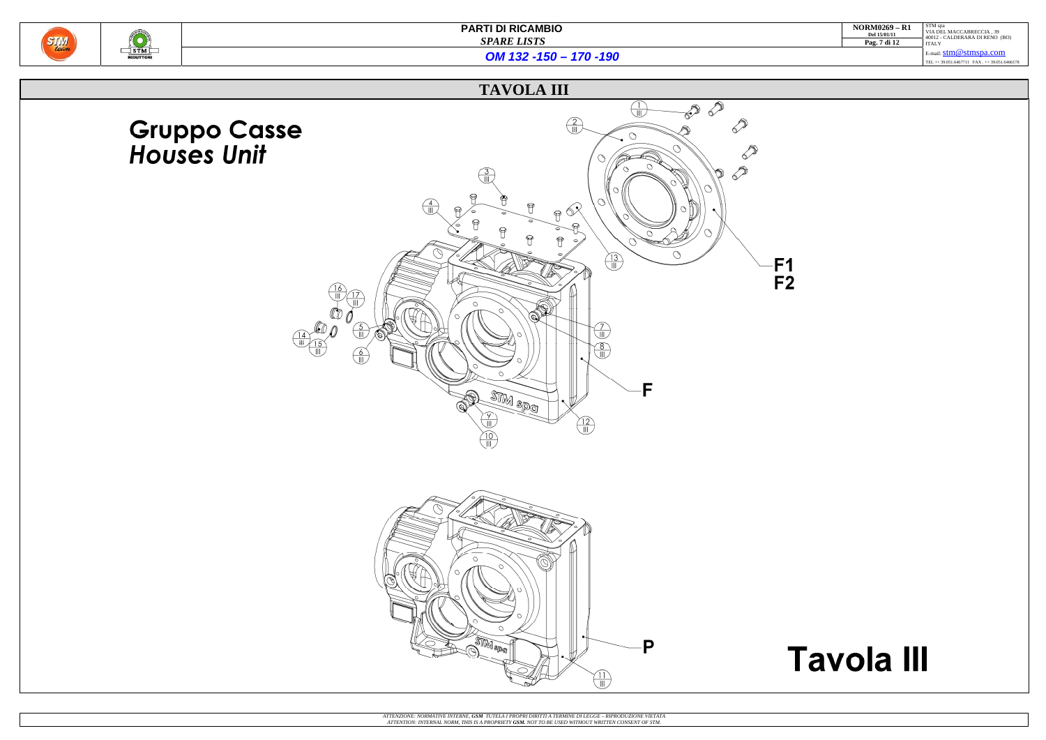

| <b>NORM0269 - R1</b><br>Del 15/01/11 | STM spa<br>VIA DEL MACCABRECCIA. 39<br>40012 - CALDERARA DI RENO (BO) |
|--------------------------------------|-----------------------------------------------------------------------|
| Pag. 7 di 12                         | <b>ITALY</b>                                                          |
|                                      | E-mail: $stm@stmspa.com$                                              |
|                                      | TEL ++ 39.051.6467711 FAX ++ 39.051.6466178                           |
|                                      |                                                                       |

# **Tavola III**

*OM 132 -150 – 170 -190*

# **TAVOLA III**

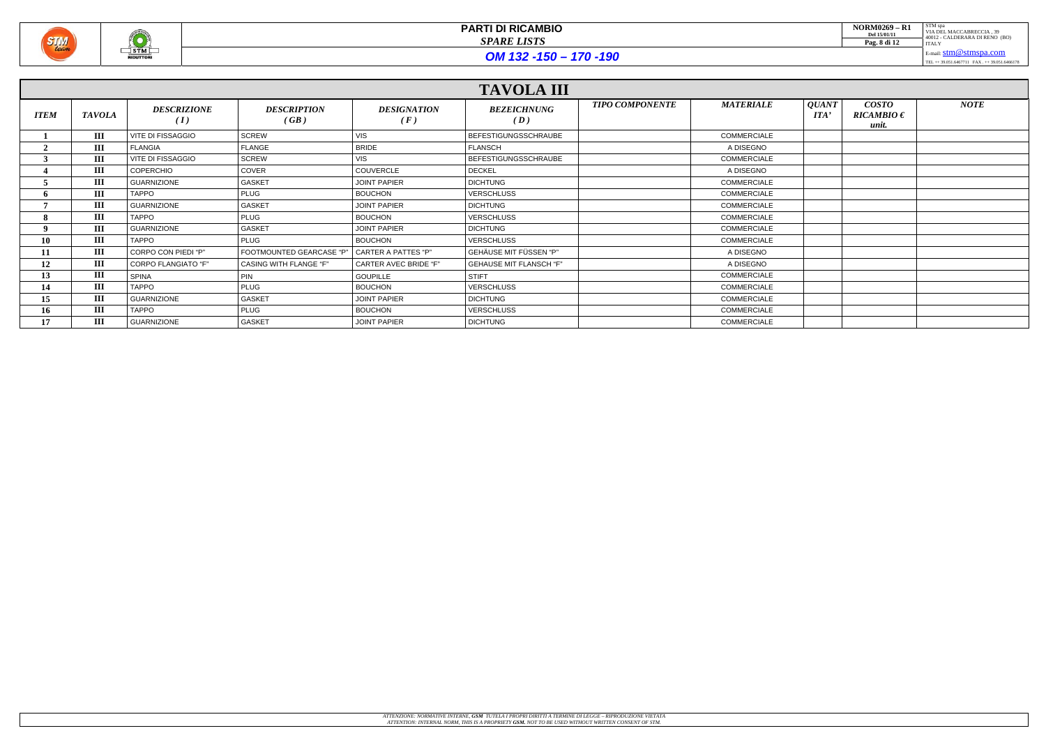

OM 132 -150 - 170 -190

|                 | <b>TAVOLA III</b> |                           |                               |                              |                                |                        |                    |                            |                                         |             |
|-----------------|-------------------|---------------------------|-------------------------------|------------------------------|--------------------------------|------------------------|--------------------|----------------------------|-----------------------------------------|-------------|
| <b>ITEM</b>     | <b>TAVOLA</b>     | <b>DESCRIZIONE</b><br>(I) | <b>DESCRIPTION</b><br>(GB)    | <b>DESIGNATION</b><br>(F)    | <b>BEZEICHNUNG</b><br>(D)      | <b>TIPO COMPONENTE</b> | <b>MATERIALE</b>   | <b>QUANT</b><br><b>ITA</b> | <b>COSTO</b><br>$RICAMBIO \in$<br>unit. | <b>NOTE</b> |
|                 | III               | VITE DI FISSAGGIO         | SCREW                         | VIS                          | BEFESTIGUNGSSCHRAUBE           |                        | <b>COMMERCIALE</b> |                            |                                         |             |
|                 | Ш                 | <b>FLANGIA</b>            | <b>FLANGE</b>                 | <b>BRIDE</b>                 | <b>FLANSCH</b>                 |                        | A DISEGNO          |                            |                                         |             |
|                 | Ш                 | <b>VITE DI FISSAGGIO</b>  | <b>SCREW</b>                  | VIS                          | BEFESTIGUNGSSCHRAUBE           |                        | <b>COMMERCIALE</b> |                            |                                         |             |
|                 | Ш                 | COPERCHIO                 | COVER                         | COUVERCLE                    | <b>DECKEL</b>                  |                        | A DISEGNO          |                            |                                         |             |
|                 | Ш                 | <b>GUARNIZIONE</b>        | <b>GASKET</b>                 | <b>JOINT PAPIER</b>          | <b>DICHTUNG</b>                |                        | COMMERCIALE        |                            |                                         |             |
|                 | III               | <b>TAPPO</b>              | <b>PLUG</b>                   | <b>BOUCHON</b>               | <b>VERSCHLUSS</b>              |                        | <b>COMMERCIALE</b> |                            |                                         |             |
|                 | III               | <b>GUARNIZIONE</b>        | <b>GASKET</b>                 | <b>JOINT PAPIER</b>          | <b>DICHTUNG</b>                |                        | COMMERCIALE        |                            |                                         |             |
|                 | Ш                 | <b>TAPPO</b>              | <b>PLUG</b>                   | <b>BOUCHON</b>               | VERSCHLUSS                     |                        | <b>COMMERCIALE</b> |                            |                                         |             |
|                 | Ш                 | <b>GUARNIZIONE</b>        | <b>GASKET</b>                 | <b>JOINT PAPIER</b>          | <b>DICHTUNG</b>                |                        | COMMERCIALE        |                            |                                         |             |
|                 | III               | TAPPO                     | <b>PLUG</b>                   | <b>BOUCHON</b>               | <b>VERSCHLUSS</b>              |                        | <b>COMMERCIALE</b> |                            |                                         |             |
|                 | III               | CORPO CON PIEDI "P"       | FOOTMOUNTED GEARCASE "P"      | <b>CARTER A PATTES "P"</b>   | <b>GEHÄUSE MIT FÜSSEN "P"</b>  |                        | A DISEGNO          |                            |                                         |             |
| 12              | III               | CORPO FLANGIATO "F"       | <b>CASING WITH FLANGE "F"</b> | <b>CARTER AVEC BRIDE "F"</b> | <b>GEHAUSE MIT FLANSCH "F"</b> |                        | A DISEGNO          |                            |                                         |             |
| 13              | III               | <b>SPINA</b>              | <b>PIN</b>                    | <b>GOUPILLE</b>              | <b>STIFT</b>                   |                        | <b>COMMERCIALE</b> |                            |                                         |             |
| 14              | III               | TAPPO                     | <b>PLUG</b>                   | <b>BOUCHON</b>               | <b>VERSCHLUSS</b>              |                        | <b>COMMERCIALE</b> |                            |                                         |             |
| 15 <sup>7</sup> | III               | <b>GUARNIZIONE</b>        | <b>GASKET</b>                 | <b>JOINT PAPIER</b>          | <b>DICHTUNG</b>                |                        | <b>COMMERCIALE</b> |                            |                                         |             |
| 16              | Ш                 | <b>TAPPO</b>              | <b>PLUG</b>                   | <b>BOUCHON</b>               | VERSCHLUSS                     |                        | COMMERCIALE        |                            |                                         |             |
|                 | Ш                 | <b>GUARNIZIONE</b>        | <b>GASKET</b>                 | <b>JOINT PAPIER</b>          | <b>DICHTUNG</b>                |                        | COMMERCIALE        |                            |                                         |             |

| <b>NORM0269 - R1</b><br>Del 15/01/11 | STM spa<br>VIA DEL MACCABRECCIA. 39<br>40012 - CALDERARA DI RENO (BO) |
|--------------------------------------|-----------------------------------------------------------------------|
| Pag. 8 di 12                         | <b>ITALY</b>                                                          |
|                                      | E-mail: $stm@stmspa.com$                                              |
|                                      | mmt oo osa cacmaa maar oo osa caccamo                                 |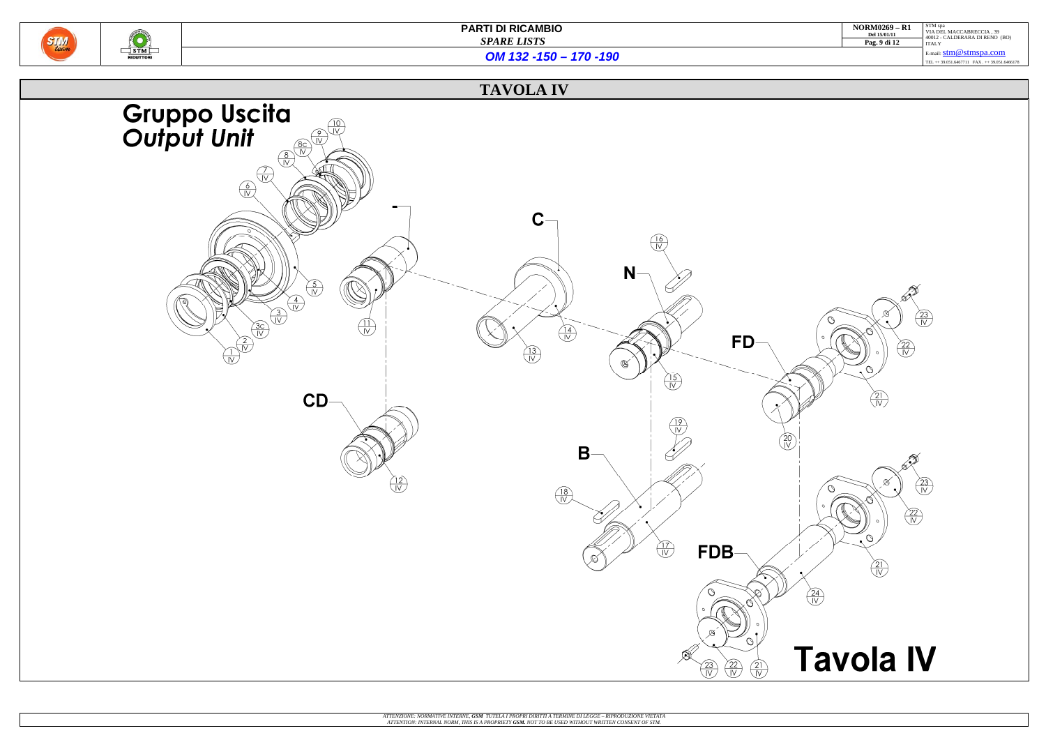

| $NORM0269 - R1$<br>Del 15/01/11 | STM spa<br>VIA DEL MACCABRECCIA, 39<br>40012 - CALDERARA DI RENO (BO) |  |  |  |  |
|---------------------------------|-----------------------------------------------------------------------|--|--|--|--|
| Pag. 9 di 12                    | <b>ITALY</b>                                                          |  |  |  |  |
|                                 | E-mail: $stm@stmspa.com$                                              |  |  |  |  |
|                                 | TEL ++ 39.051.6467711 FAX ++ 39.051.6466178                           |  |  |  |  |
|                                 |                                                                       |  |  |  |  |

*OM 132 -150 – 170 -190*

# **TAVOLA IV**

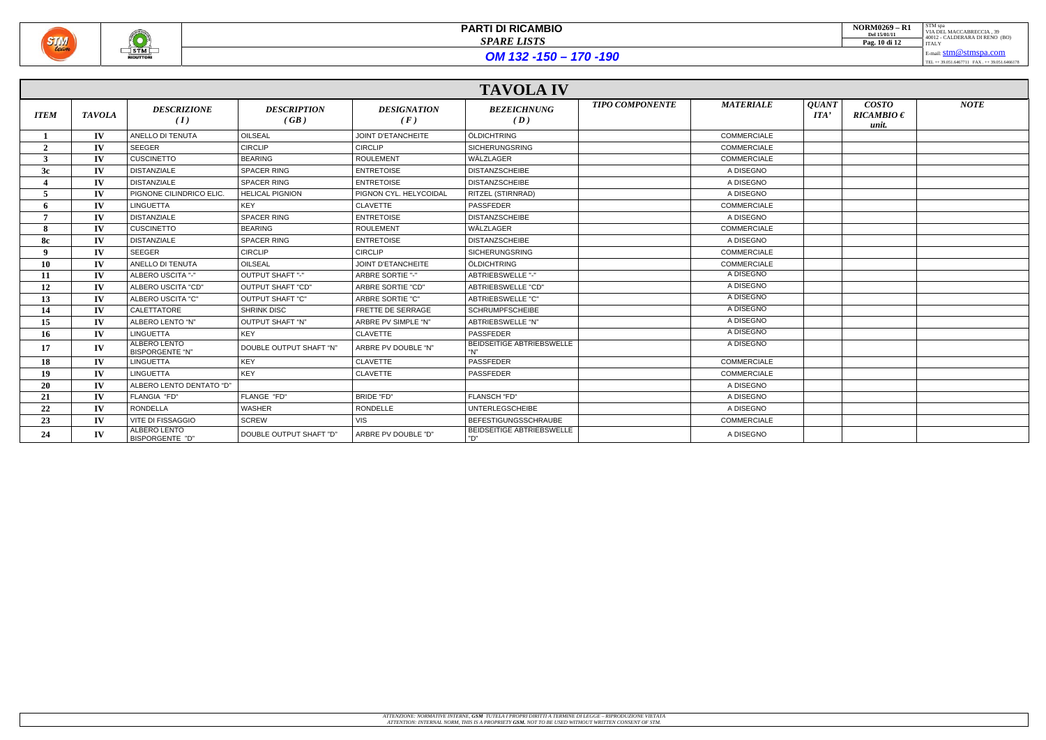

OM 132 -150 - 170 -190

|                 |               |                                        |                            |                           | <b>TAVOLA IV</b>                        |                        |                    |                                                                                |                                         |             |
|-----------------|---------------|----------------------------------------|----------------------------|---------------------------|-----------------------------------------|------------------------|--------------------|--------------------------------------------------------------------------------|-----------------------------------------|-------------|
| <b>ITEM</b>     | <b>TAVOLA</b> | <b>DESCRIZIONE</b><br>(I)              | <b>DESCRIPTION</b><br>(GB) | <b>DESIGNATION</b><br>(F) | <b>BEZEICHNUNG</b><br>(D)               | <b>TIPO COMPONENTE</b> | <b>MATERIALE</b>   | <b>QUANT</b><br>$\boldsymbol{I} \boldsymbol{I} \boldsymbol{I} \boldsymbol{A'}$ | <b>COSTO</b><br>$RICAMBIO \in$<br>unit. | <b>NOTE</b> |
|                 | $\mathbf{IV}$ | ANELLO DI TENUTA                       | <b>OILSEAL</b>             | <b>JOINT D'ETANCHEITE</b> | ÖLDICHTRING                             |                        | <b>COMMERCIALE</b> |                                                                                |                                         |             |
| $\gamma$        | $\mathbf{IV}$ | <b>SEEGER</b>                          | <b>CIRCLIP</b>             | <b>CIRCLIP</b>            | <b>SICHERUNGSRING</b>                   |                        | <b>COMMERCIALE</b> |                                                                                |                                         |             |
| 3               | $\mathbf{IV}$ | <b>CUSCINETTO</b>                      | <b>BEARING</b>             | <b>ROULEMENT</b>          | WÄLZLAGER                               |                        | COMMERCIALE        |                                                                                |                                         |             |
| 3c              | $\mathbf{IV}$ | <b>DISTANZIALE</b>                     | <b>SPACER RING</b>         | <b>ENTRETOISE</b>         | <b>DISTANZSCHEIBE</b>                   |                        | A DISEGNO          |                                                                                |                                         |             |
|                 | $\mathbf{IV}$ | <b>DISTANZIALE</b>                     | <b>SPACER RING</b>         | <b>ENTRETOISE</b>         | <b>DISTANZSCHEIBE</b>                   |                        | A DISEGNO          |                                                                                |                                         |             |
|                 | $\mathbf{IV}$ | PIGNONE CILINDRICO ELIC                | <b>HELICAL PIGNION</b>     | PIGNON CYL. HELYCOIDAL    | <b>RITZEL (STIRNRAD)</b>                |                        | A DISEGNO          |                                                                                |                                         |             |
| 6               | $\mathbf{IV}$ | <b>LINGUETTA</b>                       | KEY                        | <b>CLAVETTE</b>           | <b>PASSFEDER</b>                        |                        | <b>COMMERCIALE</b> |                                                                                |                                         |             |
| $\overline{ }$  | $\mathbf{IV}$ | <b>DISTANZIALE</b>                     | <b>SPACER RING</b>         | <b>ENTRETOISE</b>         | <b>DISTANZSCHEIBE</b>                   |                        | A DISEGNO          |                                                                                |                                         |             |
|                 | $\mathbf{IV}$ | <b>CUSCINETTO</b>                      | <b>BEARING</b>             | <b>ROULEMENT</b>          | WÄLZLAGER                               |                        | <b>COMMERCIALE</b> |                                                                                |                                         |             |
| 8с              | $\mathbf{IV}$ | <b>DISTANZIALE</b>                     | <b>SPACER RING</b>         | <b>ENTRETOISE</b>         | <b>DISTANZSCHEIBE</b>                   |                        | A DISEGNO          |                                                                                |                                         |             |
| $\Omega$        | $\mathbf{IV}$ | <b>SEEGER</b>                          | <b>CIRCLIP</b>             | <b>CIRCLIP</b>            | <b>SICHERUNGSRING</b>                   |                        | <b>COMMERCIALE</b> |                                                                                |                                         |             |
| 10              | $\mathbf{IV}$ | ANELLO DI TENUTA                       | OILSEAL                    | JOINT D'ETANCHEITE        | ÖLDICHTRING                             |                        | COMMERCIALE        |                                                                                |                                         |             |
| 11              | IV            | ALBERO USCITA "-"                      | OUTPUT SHAFT "-"           | <b>ARBRE SORTIE "-"</b>   | ABTRIEBSWELLE "-"                       |                        | A DISEGNO          |                                                                                |                                         |             |
| 12              | $\mathbf{IV}$ | ALBERO USCITA "CD"                     | OUTPUT SHAFT "CD"          | ARBRE SORTIE "CD"         | ABTRIEBSWELLE "CD"                      |                        | A DISEGNO          |                                                                                |                                         |             |
| 13              | IV            | ALBERO USCITA "C"                      | <b>OUTPUT SHAFT "C"</b>    | ARBRE SORTIE "C"          | ABTRIEBSWELLE "C"                       |                        | A DISEGNO          |                                                                                |                                         |             |
| 14              | IV            | CALETTATORE                            | <b>SHRINK DISC</b>         | FRETTE DE SERRAGE         | <b>SCHRUMPFSCHEIBE</b>                  |                        | A DISEGNO          |                                                                                |                                         |             |
| 15              | $\mathbf{IV}$ | ALBERO LENTO "N"                       | OUTPUT SHAFT "N"           | ARBRE PV SIMPLE "N"       | ABTRIEBSWELLE "N"                       |                        | A DISEGNO          |                                                                                |                                         |             |
| 16              | $\mathbf{IV}$ | <b>LINGUETTA</b>                       | <b>KEY</b>                 | <b>CLAVETTE</b>           | <b>PASSFEDER</b>                        |                        | A DISEGNO          |                                                                                |                                         |             |
| 17              | IV            | ALBERO LENTO<br><b>BISPORGENTE "N"</b> | DOUBLE OUTPUT SHAFT "N"    | ARBRE PV DOUBLE "N"       | <b>BEIDSEITIGE ABTRIEBSWELLE</b><br>"N" |                        | A DISEGNO          |                                                                                |                                         |             |
| 18              | $\mathbf{IV}$ | <b>LINGUETTA</b>                       | KEY                        | <b>CLAVETTE</b>           | <b>PASSFEDER</b>                        |                        | <b>COMMERCIALE</b> |                                                                                |                                         |             |
| 19 <sup>°</sup> | $\mathbf{IV}$ | <b>LINGUETTA</b>                       | <b>KEY</b>                 | <b>CLAVETTE</b>           | PASSFEDER                               |                        | <b>COMMERCIALE</b> |                                                                                |                                         |             |
| 20              | $\mathbf{IV}$ | ALBERO LENTO DENTATO "D"               |                            |                           |                                         |                        | A DISEGNO          |                                                                                |                                         |             |
| 21              | $\mathbf{IV}$ | FLANGIA "FD"                           | FLANGE "FD"                | BRIDE "FD"                | FLANSCH "FD"                            |                        | A DISEGNO          |                                                                                |                                         |             |
| 22              | IV            | <b>RONDELLA</b>                        | <b>WASHER</b>              | RONDELLE                  | <b>UNTERLEGSCHEIBE</b>                  |                        | A DISEGNO          |                                                                                |                                         |             |
| 23              | IV            | <b>VITE DI FISSAGGIO</b>               | <b>SCREW</b>               | <b>VIS</b>                | <b>BEFESTIGUNGSSCHRAUBE</b>             |                        | <b>COMMERCIALE</b> |                                                                                |                                         |             |
| 24              | $\mathbf{IV}$ | ALBERO LENTO<br>BISPORGENTE "D"        | DOUBLE OUTPUT SHAFT "D"    | ARBRE PV DOUBLE "D"       | <b>BEIDSEITIGE ABTRIEBSWELLE</b><br>"D" |                        | A DISEGNO          |                                                                                |                                         |             |

| <b>NORM0269 - R1</b><br>Del 15/01/11<br>Pag. 10 di 12 | STM spa<br>VIA DEL MACCABRECCIA. 39<br>40012 - CALDERARA DI RENO (BO)<br><b>ITALY</b> |
|-------------------------------------------------------|---------------------------------------------------------------------------------------|
|                                                       | E-mail: $stm@stmspa.com$                                                              |
|                                                       | TEL ++ 39.051.6467711 FAX ++ 39.051.6466178                                           |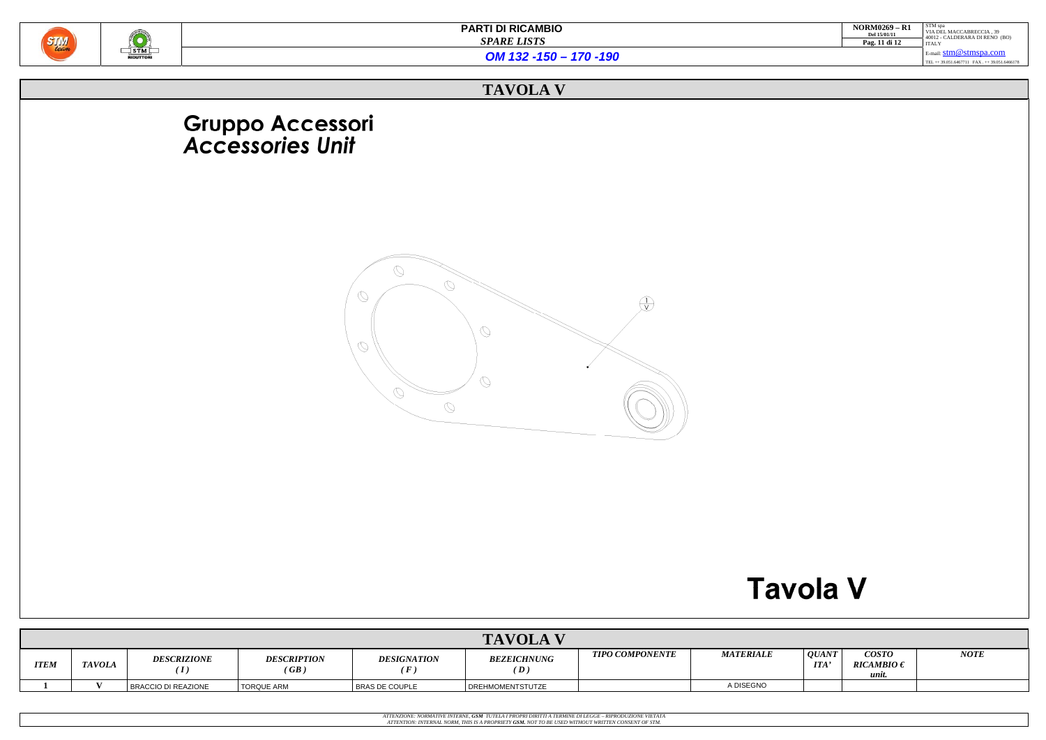

| <b>NORM0269 - R1</b><br>Del 15/01/11<br>Pag. 11 di 12 | STM spa<br>VIA DEL MACCABRECCIA. 39<br>40012 - CALDERARA DI RENO (BO)<br><b>ITALY</b> |
|-------------------------------------------------------|---------------------------------------------------------------------------------------|
|                                                       | E-mail: $stm@stmspa.com$<br>TEL ++ 39.051.6467711 FAX ++ 39.051.6466178               |



*OM 132 -150 – 170 -190*

## **TAVOLA V**

# Gruppo Accessori<br>Accessories Unit



|             | <b>TAVOLA V</b> |                         |                            |                       |                                      |                        |                  |                     |                                        |             |
|-------------|-----------------|-------------------------|----------------------------|-----------------------|--------------------------------------|------------------------|------------------|---------------------|----------------------------------------|-------------|
| <b>ITEM</b> | <b>TAVOLA</b>   | <b>DESCRIZIONE</b><br>T | <b>DESCRIPTION</b><br>(GB) | <b>DESIGNATION</b>    | <b>BEZEICHNUNG</b><br>$\set{\bm{D}}$ | <b>TIPO COMPONENTE</b> | <b>MATERIALE</b> | QUANT<br><b>ITA</b> | <b>COSTO</b><br>$RICAMBIO \in$<br>unit | <b>NOTE</b> |
|             |                 | BRACCIO DI REAZIONE     | <b>TORQUE ARM</b>          | <b>BRAS DE COUPLE</b> | DREHMOMENTSTUTZE                     |                        | A DISEGNO        |                     |                                        |             |

ATTENZIONE: NORMATIVE INTERNE, **GSM** TUTELA I PROPRI DIRITTI A TERMINE DI LEGGE – RIPRODUZIONE VIETATA<br>ATTENTION: INTERNAL NORM, THIS IS A PROPRIETY **GSM.** NOT TO BE USED WITHOUT WRITTEN CONSENT OF STM.